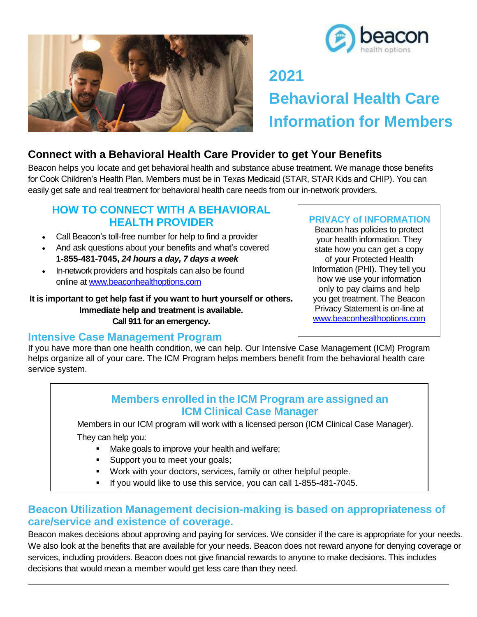



# **2021 Behavioral Health Care Information for Members**

# **Connect with a Behavioral Health Care Provider to get Your Benefits**

Beacon helps you locate and get behavioral health and substance abuse treatment. We manage those benefits for Cook Children's Health Plan. Members must be in Texas Medicaid (STAR, STAR Kids and CHIP). You can easily get safe and real treatment for behavioral health care needs from our in-network providers.

## **HOW TO CONNECT WITH A BEHAVIORAL HEALTH PROVIDER**

- Call Beacon's toll-free number for help to find a provider
- And ask questions about your benefits and what's covered **1-855-481-7045,** *24 hours a day, 7 days a week*
- In-network providers and hospitals can also be found online at [www.beaconhealthoptions.com](http://www.beaconhealthoptions.com/)

**It is important to get help fast if you want to hurt yourself or others. Immediate help and treatment is available. Call 911 for an emergency.**

### **PRIVACY of INFORMATION**

Beacon has policies to protect your health information. They state how you can get a copy of your Protected Health Information (PHI). They tell you how we use your information only to pay claims and help you get treatment. The Beacon Privacy Statement is on-line at [www.beaconhealthoptions.com](http://www.beaconhealthoptions.com/)

## **Intensive Case Management Program**

If you have more than one health condition, we can help. Our Intensive Case Management (ICM) Program helps organize all of your care. The ICM Program helps members benefit from the behavioral health care service system.

## **Members enrolled in the ICM Program are assigned an ICM Clinical Case Manager**

Members in our ICM program will work with a licensed person (ICM Clinical Case Manager). They can help you:

- Make goals to improve your health and welfare;
- Support you to meet your goals;
- Work with your doctors, services, family or other helpful people.
- If you would like to use this service, you can call 1-855-481-7045.

# **Beacon Utilization Management decision-making is based on appropriateness of care/service and existence of coverage.**

Beacon makes decisions about approving and paying for services. We consider if the care is appropriate for your needs. We also look at the benefits that are available for your needs. Beacon does not reward anyone for denying coverage or services, including providers. Beacon does not give financial rewards to anyone to make decisions. This includes decisions that would mean a member would get less care than they need.